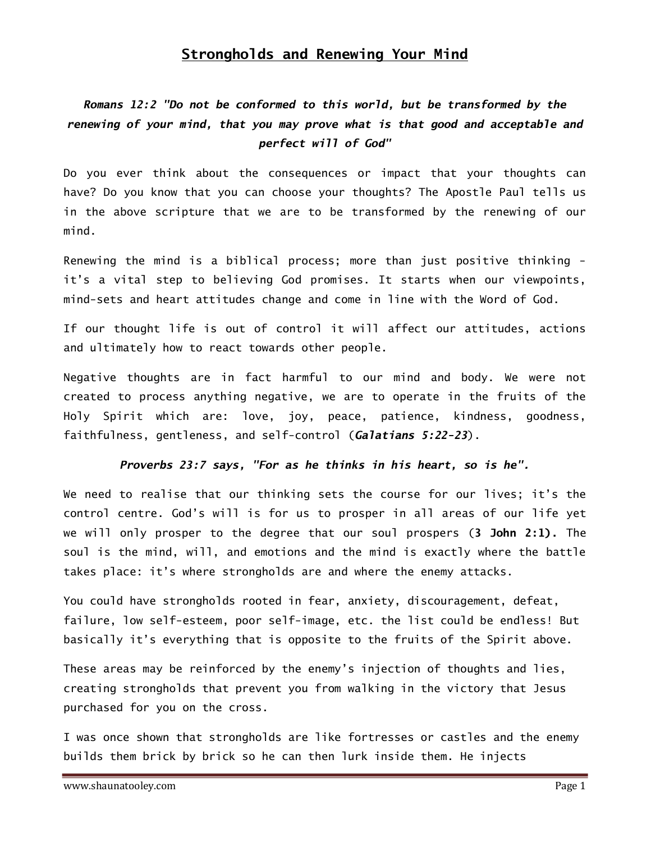### Strongholds and Renewing Your Mind

# Romans 12:2 "Do not be conformed to this world, but be transformed by the renewing of your mind, that you may prove what is that good and acceptable and perfect will of God"

Do you ever think about the consequences or impact that your thoughts can have? Do you know that you can choose your thoughts? The Apostle Paul tells us in the above scripture that we are to be transformed by the renewing of our mind.

Renewing the mind is a biblical process; more than just positive thinking it's a vital step to believing God promises. It starts when our viewpoints, mind-sets and heart attitudes change and come in line with the Word of God.

If our thought life is out of control it will affect our attitudes, actions and ultimately how to react towards other people.

Negative thoughts are in fact harmful to our mind and body. We were not created to process anything negative, we are to operate in the fruits of the Holy Spirit which are: love, joy, peace, patience, kindness, goodness, faithfulness, gentleness, and self-control (Galatians 5:22-23).

#### Proverbs 23:7 says, "For as he thinks in his heart, so is he".

We need to realise that our thinking sets the course for our lives; it's the control centre. God's will is for us to prosper in all areas of our life yet we will only prosper to the degree that our soul prospers (3 John 2:1). The soul is the mind, will, and emotions and the mind is exactly where the battle takes place: it's where strongholds are and where the enemy attacks.

You could have strongholds rooted in fear, anxiety, discouragement, defeat, failure, low self-esteem, poor self-image, etc. the list could be endless! But basically it's everything that is opposite to the fruits of the Spirit above.

These areas may be reinforced by the enemy's injection of thoughts and lies, creating strongholds that prevent you from walking in the victory that Jesus purchased for you on the cross.

I was once shown that strongholds are like fortresses or castles and the enemy builds them brick by brick so he can then lurk inside them. He injects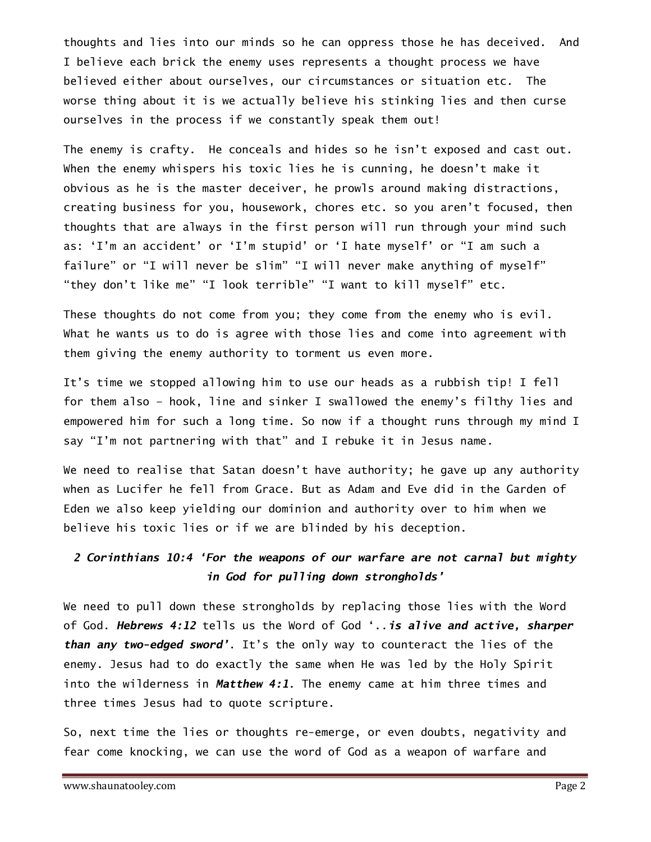thoughts and lies into our minds so he can oppress those he has deceived. And I believe each brick the enemy uses represents a thought process we have believed either about ourselves, our circumstances or situation etc. The worse thing about it is we actually believe his stinking lies and then curse ourselves in the process if we constantly speak them out!

The enemy is crafty. He conceals and hides so he isn't exposed and cast out. When the enemy whispers his toxic lies he is cunning, he doesn't make it obvious as he is the master deceiver, he prowls around making distractions, creating business for you, housework, chores etc. so you aren't focused, then thoughts that are always in the first person will run through your mind such as: 'I'm an accident' or 'I'm stupid' or 'I hate myself' or "I am such a failure" or "I will never be slim" "I will never make anything of myself" "they don't like me" "I look terrible" "I want to kill myself" etc.

These thoughts do not come from you; they come from the enemy who is evil. What he wants us to do is agree with those lies and come into agreement with them giving the enemy authority to torment us even more.

It's time we stopped allowing him to use our heads as a rubbish tip! I fell for them also – hook, line and sinker I swallowed the enemy's filthy lies and empowered him for such a long time. So now if a thought runs through my mind I say "I'm not partnering with that" and I rebuke it in Jesus name.

We need to realise that Satan doesn't have authority; he gave up any authority when as Lucifer he fell from Grace. But as Adam and Eve did in the Garden of Eden we also keep yielding our dominion and authority over to him when we believe his toxic lies or if we are blinded by his deception.

## 2 Corinthians 10:4 'For the weapons of our warfare are not carnal but mighty in God for pulling down strongholds'

We need to pull down these strongholds by replacing those lies with the Word of God. Hebrews 4:12 tells us the Word of God '.. is alive and active, sharper than any two-edged sword'. It's the only way to counteract the lies of the enemy. Jesus had to do exactly the same when He was led by the Holy Spirit into the wilderness in Matthew 4:1. The enemy came at him three times and three times Jesus had to quote scripture.

So, next time the lies or thoughts re-emerge, or even doubts, negativity and fear come knocking, we can use the word of God as a weapon of warfare and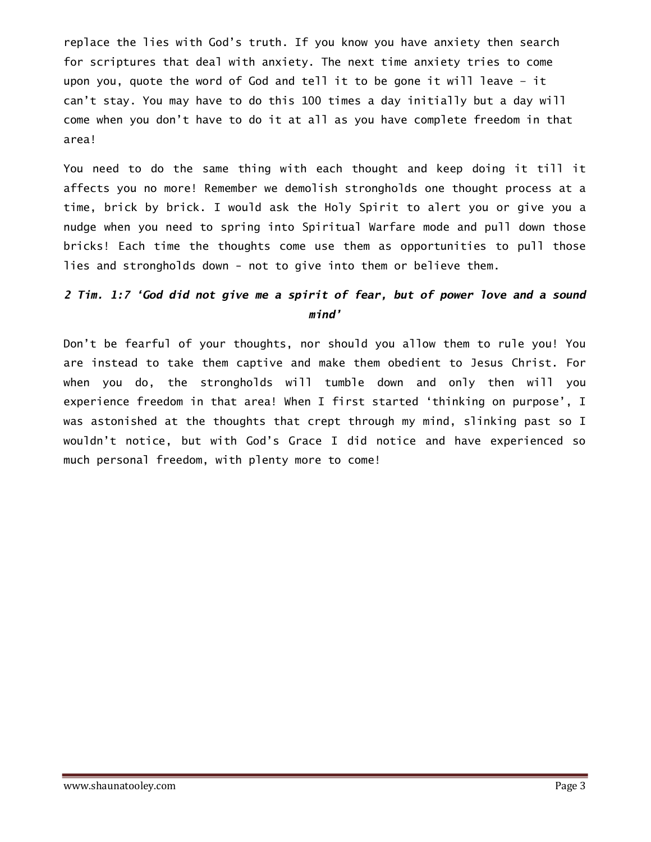replace the lies with God's truth. If you know you have anxiety then search for scriptures that deal with anxiety. The next time anxiety tries to come upon you, quote the word of God and tell it to be gone it will leave – it can't stay. You may have to do this 100 times a day initially but a day will come when you don't have to do it at all as you have complete freedom in that area!

You need to do the same thing with each thought and keep doing it till it affects you no more! Remember we demolish strongholds one thought process at a time, brick by brick. I would ask the Holy Spirit to alert you or give you a nudge when you need to spring into Spiritual Warfare mode and pull down those bricks! Each time the thoughts come use them as opportunities to pull those lies and strongholds down - not to give into them or believe them.

## 2 Tim. 1:7 'God did not give me a spirit of fear, but of power love and a sound mind'

Don't be fearful of your thoughts, nor should you allow them to rule you! You are instead to take them captive and make them obedient to Jesus Christ. For when you do, the strongholds will tumble down and only then will you experience freedom in that area! When I first started 'thinking on purpose', I was astonished at the thoughts that crept through my mind, slinking past so I wouldn't notice, but with God's Grace I did notice and have experienced so much personal freedom, with plenty more to come!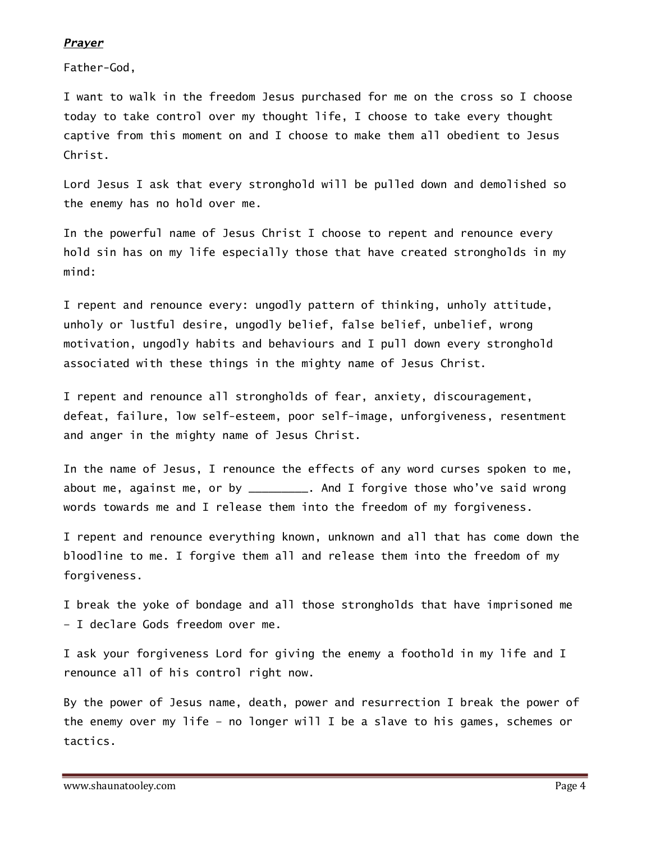#### **Prayer**

Father-God,

I want to walk in the freedom Jesus purchased for me on the cross so I choose today to take control over my thought life, I choose to take every thought captive from this moment on and I choose to make them all obedient to Jesus Christ.

Lord Jesus I ask that every stronghold will be pulled down and demolished so the enemy has no hold over me.

In the powerful name of Jesus Christ I choose to repent and renounce every hold sin has on my life especially those that have created strongholds in my mind:

I repent and renounce every: ungodly pattern of thinking, unholy attitude, unholy or lustful desire, ungodly belief, false belief, unbelief, wrong motivation, ungodly habits and behaviours and I pull down every stronghold associated with these things in the mighty name of Jesus Christ.

I repent and renounce all strongholds of fear, anxiety, discouragement, defeat, failure, low self-esteem, poor self-image, unforgiveness, resentment and anger in the mighty name of Jesus Christ.

In the name of Jesus, I renounce the effects of any word curses spoken to me, about me, against me, or by \_\_\_\_\_\_\_\_\_. And I forgive those who've said wrong words towards me and I release them into the freedom of my forgiveness.

I repent and renounce everything known, unknown and all that has come down the bloodline to me. I forgive them all and release them into the freedom of my forgiveness.

I break the yoke of bondage and all those strongholds that have imprisoned me – I declare Gods freedom over me.

I ask your forgiveness Lord for giving the enemy a foothold in my life and I renounce all of his control right now.

By the power of Jesus name, death, power and resurrection I break the power of the enemy over my life – no longer will I be a slave to his games, schemes or tactics.